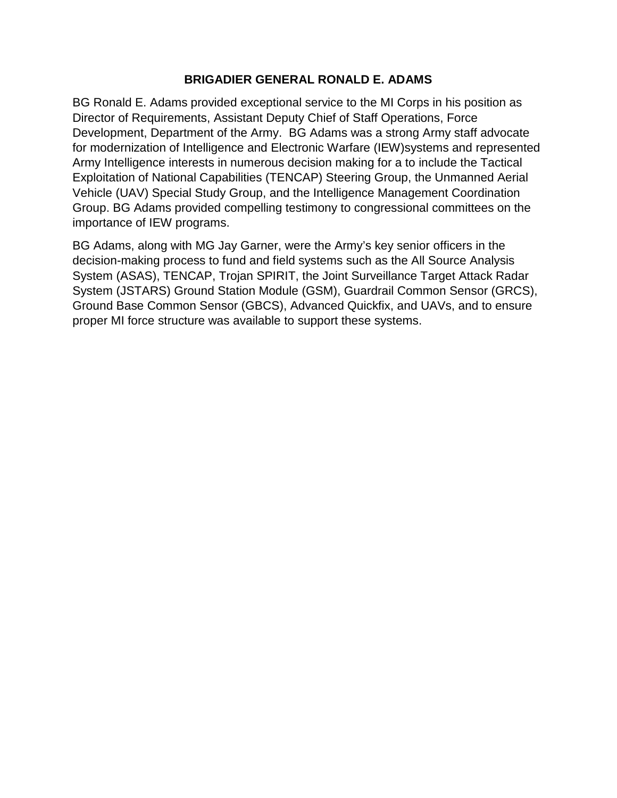## **BRIGADIER GENERAL RONALD E. ADAMS**

BG Ronald E. Adams provided exceptional service to the MI Corps in his position as Director of Requirements, Assistant Deputy Chief of Staff Operations, Force Development, Department of the Army. BG Adams was a strong Army staff advocate for modernization of Intelligence and Electronic Warfare (IEW)systems and represented Army Intelligence interests in numerous decision making for a to include the Tactical Exploitation of National Capabilities (TENCAP) Steering Group, the Unmanned Aerial Vehicle (UAV) Special Study Group, and the Intelligence Management Coordination Group. BG Adams provided compelling testimony to congressional committees on the importance of IEW programs.

BG Adams, along with MG Jay Garner, were the Army's key senior officers in the decision-making process to fund and field systems such as the All Source Analysis System (ASAS), TENCAP, Trojan SPIRIT, the Joint Surveillance Target Attack Radar System (JSTARS) Ground Station Module (GSM), Guardrail Common Sensor (GRCS), Ground Base Common Sensor (GBCS), Advanced Quickfix, and UAVs, and to ensure proper MI force structure was available to support these systems.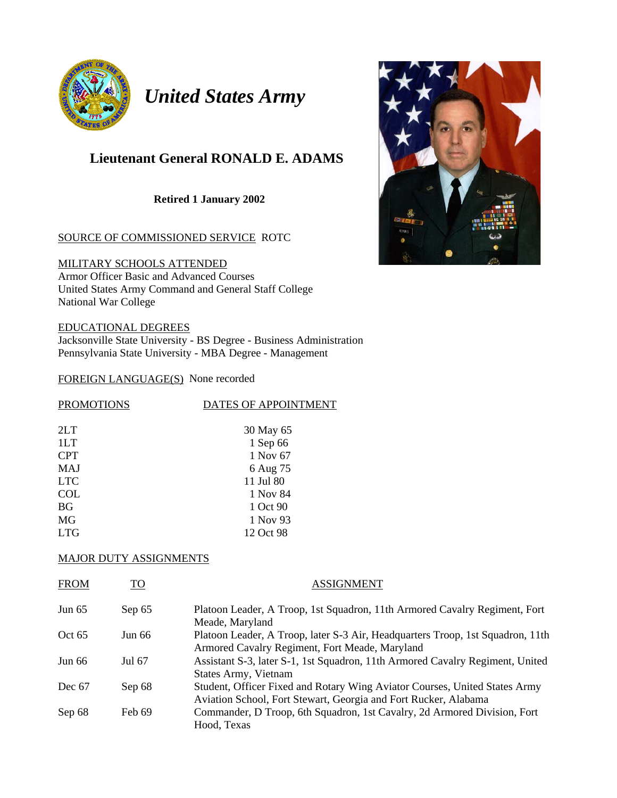

*United States Army* 

# **Lieutenant General RONALD E. ADAMS**

**Retired 1 January 2002** 

#### SOURCE OF COMMISSIONED SERVICE ROTC

MILITARY SCHOOLS ATTENDED Armor Officer Basic and Advanced Courses United States Army Command and General Staff College National War College

EDUCATIONAL DEGREES Jacksonville State University - BS Degree - Business Administration Pennsylvania State University - MBA Degree - Management

#### FOREIGN LANGUAGE(S) None recorded

| <b>PROMOTIONS</b> | DATES OF APPOINTMENT |  |  |
|-------------------|----------------------|--|--|
|                   |                      |  |  |
| 2LT               | 30 May 65            |  |  |
| 1LT               | 1 Sep 66             |  |  |
| <b>CPT</b>        | 1 Nov 67             |  |  |
| <b>MAJ</b>        | 6 Aug 75             |  |  |
| <b>LTC</b>        | 11 Jul 80            |  |  |
| <b>COL</b>        | 1 Nov 84             |  |  |
| <b>BG</b>         | 1 Oct 90             |  |  |
| MG                | 1 Nov 93             |  |  |
| <b>LTG</b>        | 12 Oct 98            |  |  |

#### MAJOR DUTY ASSIGNMENTS

| <b>FROM</b> | TO     | <b>ASSIGNMENT</b>                                                                                                                             |
|-------------|--------|-----------------------------------------------------------------------------------------------------------------------------------------------|
| Jun $65$    | Sep 65 | Platoon Leader, A Troop, 1st Squadron, 11th Armored Cavalry Regiment, Fort<br>Meade, Maryland                                                 |
| Oct $65$    | Jun 66 | Platoon Leader, A Troop, later S-3 Air, Headquarters Troop, 1st Squadron, 11th<br>Armored Cavalry Regiment, Fort Meade, Maryland              |
| Jun $66$    | Jul 67 | Assistant S-3, later S-1, 1st Squadron, 11th Armored Cavalry Regiment, United<br>States Army, Vietnam                                         |
| Dec $67$    | Sep 68 | Student, Officer Fixed and Rotary Wing Aviator Courses, United States Army<br>Aviation School, Fort Stewart, Georgia and Fort Rucker, Alabama |
| Sep 68      | Feb 69 | Commander, D Troop, 6th Squadron, 1st Cavalry, 2d Armored Division, Fort<br>Hood, Texas                                                       |

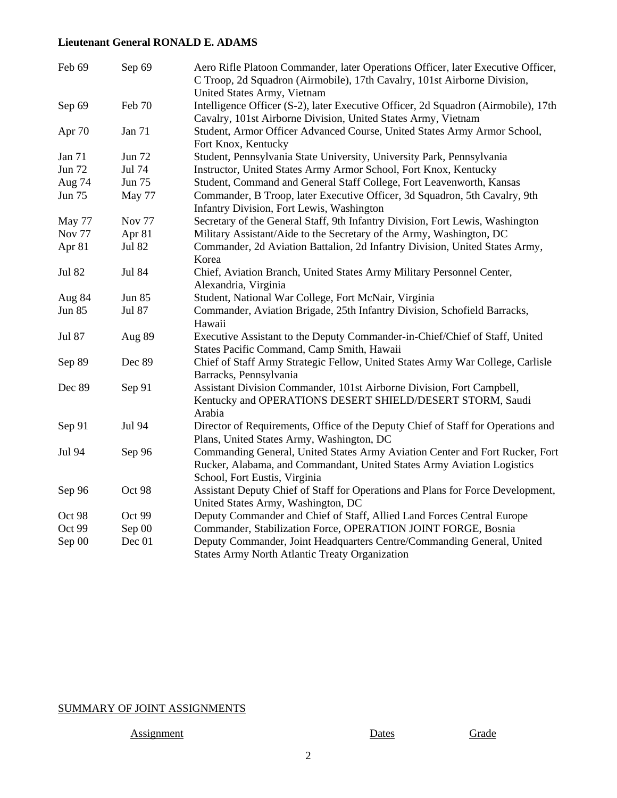### **Lieutenant General RONALD E. ADAMS**

| Feb 69        | Sep 69        | Aero Rifle Platoon Commander, later Operations Officer, later Executive Officer,<br>C Troop, 2d Squadron (Airmobile), 17th Cavalry, 101st Airborne Division,<br>United States Army, Vietnam |  |
|---------------|---------------|---------------------------------------------------------------------------------------------------------------------------------------------------------------------------------------------|--|
| Sep 69        | Feb 70        | Intelligence Officer (S-2), later Executive Officer, 2d Squadron (Airmobile), 17th<br>Cavalry, 101st Airborne Division, United States Army, Vietnam                                         |  |
| Apr 70        | Jan 71        | Student, Armor Officer Advanced Course, United States Army Armor School,<br>Fort Knox, Kentucky                                                                                             |  |
| Jan 71        | <b>Jun 72</b> | Student, Pennsylvania State University, University Park, Pennsylvania                                                                                                                       |  |
| <b>Jun 72</b> | Jul 74        | Instructor, United States Army Armor School, Fort Knox, Kentucky                                                                                                                            |  |
| Aug 74        | <b>Jun 75</b> | Student, Command and General Staff College, Fort Leavenworth, Kansas                                                                                                                        |  |
| Jun 75        | May 77        | Commander, B Troop, later Executive Officer, 3d Squadron, 5th Cavalry, 9th<br>Infantry Division, Fort Lewis, Washington                                                                     |  |
| May 77        | <b>Nov 77</b> | Secretary of the General Staff, 9th Infantry Division, Fort Lewis, Washington                                                                                                               |  |
| <b>Nov 77</b> | Apr 81        | Military Assistant/Aide to the Secretary of the Army, Washington, DC                                                                                                                        |  |
| Apr 81        | <b>Jul 82</b> | Commander, 2d Aviation Battalion, 2d Infantry Division, United States Army,<br>Korea                                                                                                        |  |
| <b>Jul 82</b> | <b>Jul 84</b> | Chief, Aviation Branch, United States Army Military Personnel Center,<br>Alexandria, Virginia                                                                                               |  |
| Aug 84        | <b>Jun 85</b> | Student, National War College, Fort McNair, Virginia                                                                                                                                        |  |
| <b>Jun 85</b> | <b>Jul 87</b> | Commander, Aviation Brigade, 25th Infantry Division, Schofield Barracks,<br>Hawaii                                                                                                          |  |
| Jul 87        | Aug 89        | Executive Assistant to the Deputy Commander-in-Chief/Chief of Staff, United<br>States Pacific Command, Camp Smith, Hawaii                                                                   |  |
| Sep 89        | Dec 89        | Chief of Staff Army Strategic Fellow, United States Army War College, Carlisle<br>Barracks, Pennsylvania                                                                                    |  |
| Dec 89        | Sep 91        | Assistant Division Commander, 101st Airborne Division, Fort Campbell,<br>Kentucky and OPERATIONS DESERT SHIELD/DESERT STORM, Saudi<br>Arabia                                                |  |
| Sep 91        | Jul 94        | Director of Requirements, Office of the Deputy Chief of Staff for Operations and<br>Plans, United States Army, Washington, DC                                                               |  |
| Jul 94        | Sep 96        | Commanding General, United States Army Aviation Center and Fort Rucker, Fort<br>Rucker, Alabama, and Commandant, United States Army Aviation Logistics<br>School, Fort Eustis, Virginia     |  |
| Sep 96        | Oct 98        | Assistant Deputy Chief of Staff for Operations and Plans for Force Development,<br>United States Army, Washington, DC                                                                       |  |
| Oct 98        | Oct 99        | Deputy Commander and Chief of Staff, Allied Land Forces Central Europe                                                                                                                      |  |
| Oct 99        | Sep 00        | Commander, Stabilization Force, OPERATION JOINT FORGE, Bosnia                                                                                                                               |  |
| Sep 00        | Dec 01        | Deputy Commander, Joint Headquarters Centre/Commanding General, United<br><b>States Army North Atlantic Treaty Organization</b>                                                             |  |

## SUMMARY OF JOINT ASSIGNMENTS

Assignment Dates Grade